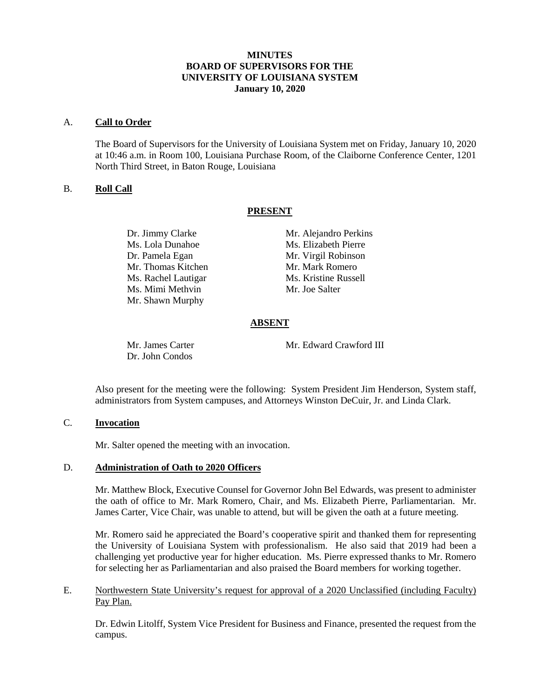## **MINUTES BOARD OF SUPERVISORS FOR THE UNIVERSITY OF LOUISIANA SYSTEM January 10, 2020**

#### A. **Call to Order**

The Board of Supervisors for the University of Louisiana System met on Friday, January 10, 2020 at 10:46 a.m. in Room 100, Louisiana Purchase Room, of the Claiborne Conference Center, 1201 North Third Street, in Baton Rouge, Louisiana

## B. **Roll Call**

## **PRESENT**

Ms. Lola Dunahoe Ms. Elizabeth Pierre Dr. Pamela Egan Mr. Virgil Robinson<br>Mr. Thomas Kitchen Mr. Mark Romero Mr. Thomas Kitchen Ms. Rachel Lautigar Ms. Kristine Russell Ms. Mimi Methvin Mr. Joe Salter Mr. Shawn Murphy

Dr. Jimmy Clarke Mr. Alejandro Perkins

# **ABSENT**

Dr. John Condos

Mr. James Carter Mr. Edward Crawford III

Also present for the meeting were the following: System President Jim Henderson, System staff, administrators from System campuses, and Attorneys Winston DeCuir, Jr. and Linda Clark.

# C. **Invocation**

Mr. Salter opened the meeting with an invocation.

#### D. **Administration of Oath to 2020 Officers**

Mr. Matthew Block, Executive Counsel for Governor John Bel Edwards, was present to administer the oath of office to Mr. Mark Romero, Chair, and Ms. Elizabeth Pierre, Parliamentarian. Mr. James Carter, Vice Chair, was unable to attend, but will be given the oath at a future meeting.

Mr. Romero said he appreciated the Board's cooperative spirit and thanked them for representing the University of Louisiana System with professionalism. He also said that 2019 had been a challenging yet productive year for higher education. Ms. Pierre expressed thanks to Mr. Romero for selecting her as Parliamentarian and also praised the Board members for working together.

## E. Northwestern State University's request for approval of a 2020 Unclassified (including Faculty) Pay Plan.

Dr. Edwin Litolff, System Vice President for Business and Finance, presented the request from the campus.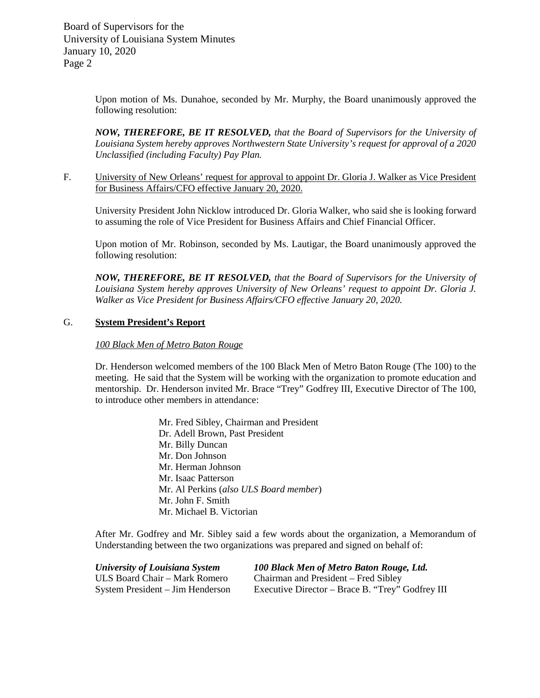Board of Supervisors for the University of Louisiana System Minutes January 10, 2020 Page 2

> Upon motion of Ms. Dunahoe, seconded by Mr. Murphy, the Board unanimously approved the following resolution:

> *NOW, THEREFORE, BE IT RESOLVED, that the Board of Supervisors for the University of Louisiana System hereby approves Northwestern State University's request for approval of a 2020 Unclassified (including Faculty) Pay Plan.*

F. University of New Orleans' request for approval to appoint Dr. Gloria J. Walker as Vice President for Business Affairs/CFO effective January 20, 2020.

University President John Nicklow introduced Dr. Gloria Walker, who said she is looking forward to assuming the role of Vice President for Business Affairs and Chief Financial Officer.

Upon motion of Mr. Robinson, seconded by Ms. Lautigar, the Board unanimously approved the following resolution:

*NOW, THEREFORE, BE IT RESOLVED, that the Board of Supervisors for the University of Louisiana System hereby approves University of New Orleans' request to appoint Dr. Gloria J. Walker as Vice President for Business Affairs/CFO effective January 20, 2020.* 

## G. **System President's Report**

#### *100 Black Men of Metro Baton Rouge*

Dr. Henderson welcomed members of the 100 Black Men of Metro Baton Rouge (The 100) to the meeting. He said that the System will be working with the organization to promote education and mentorship. Dr. Henderson invited Mr. Brace "Trey" Godfrey III, Executive Director of The 100, to introduce other members in attendance:

> Mr. Fred Sibley, Chairman and President Dr. Adell Brown, Past President Mr. Billy Duncan Mr. Don Johnson Mr. Herman Johnson Mr. Isaac Patterson Mr. Al Perkins (*also ULS Board member*) Mr. John F. Smith Mr. Michael B. Victorian

After Mr. Godfrey and Mr. Sibley said a few words about the organization, a Memorandum of Understanding between the two organizations was prepared and signed on behalf of:

| <b>University of Louisiana System</b> | 100 Black Men of Metro Baton Rouge, Ltd.         |
|---------------------------------------|--------------------------------------------------|
| ULS Board Chair – Mark Romero         | Chairman and President – Fred Sibley             |
| System President – Jim Henderson      | Executive Director – Brace B. "Trey" Godfrey III |